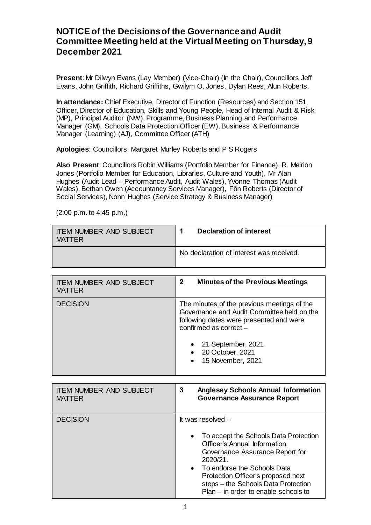## **NOTICE of the Decisions of the Governance and Audit Committee Meeting held at the Virtual Meeting on Thursday, 9 December 2021**

**Present**: Mr Dilwyn Evans (Lay Member) (Vice-Chair) (In the Chair), Councillors Jeff Evans, John Griffith, Richard Griffiths, Gwilym O. Jones, Dylan Rees, Alun Roberts.

**In attendance:** Chief Executive, Director of Function (Resources) and Section 151 Officer, Director of Education, Skills and Young People, Head of Internal Audit & Risk (MP), Principal Auditor (NW), Programme, Business Planning and Performance Manager (GM), Schools Data Protection Officer (EW), Business & Performance Manager (Learning) (AJ), Committee Officer (ATH)

**Apologies**: Councillors Margaret Murley Roberts and P S Rogers

**Also Present**: Councillors Robin Williams (Portfolio Member for Finance), R. Meirion Jones (Portfolio Member for Education, Libraries, Culture and Youth), Mr Alan Hughes (Audit Lead – Performance Audit, Audit Wales), Yvonne Thomas (Audit Wales), Bethan Owen (Accountancy Services Manager), Fôn Roberts (Director of Social Services), Nonn Hughes (Service Strategy & Business Manager)

| <b>ITEM NUMBER AND SUBJECT</b><br><b>MATTFR</b> | <b>Declaration of interest</b>           |
|-------------------------------------------------|------------------------------------------|
|                                                 | No declaration of interest was received. |

(2:00 p.m. to 4:45 p.m.)

| <b>ITEM NUMBER AND SUBJECT</b> | $\mathbf{2}$                                                                                                                                                                                                                               |
|--------------------------------|--------------------------------------------------------------------------------------------------------------------------------------------------------------------------------------------------------------------------------------------|
| <b>MATTER</b>                  | <b>Minutes of the Previous Meetings</b>                                                                                                                                                                                                    |
| <b>DECISION</b>                | The minutes of the previous meetings of the<br>Governance and Audit Committee held on the<br>following dates were presented and were<br>confirmed as correct -<br>21 September, 2021<br>20 October, 2021<br>15 November, 2021<br>$\bullet$ |

| <b>ITEM NUMBER AND SUBJECT</b><br><b>MATTER</b> | 3<br><b>Anglesey Schools Annual Information</b><br><b>Governance Assurance Report</b>                                                                                                                                                                                                                    |
|-------------------------------------------------|----------------------------------------------------------------------------------------------------------------------------------------------------------------------------------------------------------------------------------------------------------------------------------------------------------|
| <b>DECISION</b>                                 | It was resolved -<br>• To accept the Schools Data Protection<br><b>Officer's Annual Information</b><br>Governance Assurance Report for<br>2020/21.<br>• To endorse the Schools Data<br>Protection Officer's proposed next<br>steps - the Schools Data Protection<br>Plan - in order to enable schools to |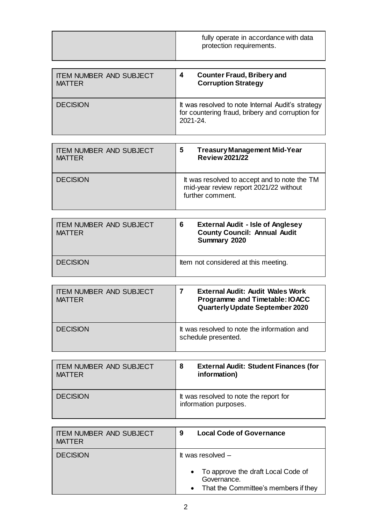|                                                 | fully operate in accordance with data<br>protection requirements.                                                    |
|-------------------------------------------------|----------------------------------------------------------------------------------------------------------------------|
| <b>ITEM NUMBER AND SUBJECT</b><br><b>MATTER</b> | <b>Counter Fraud, Bribery and</b><br>4<br><b>Corruption Strategy</b>                                                 |
| <b>DECISION</b>                                 | It was resolved to note Internal Audit's strategy<br>for countering fraud, bribery and corruption for<br>$2021 - 24$ |

| <b>ITEM NUMBER AND SUBJECT</b><br><b>MATTER</b> | <b>Treasury Management Mid-Year</b><br>5<br><b>Review 2021/22</b>                                          |
|-------------------------------------------------|------------------------------------------------------------------------------------------------------------|
| <b>DECISION</b>                                 | It was resolved to accept and to note the TM<br>mid-year review report 2021/22 without<br>further comment. |

| <b>ITEM NUMBER AND SUBJECT</b><br><b>MATTER</b> | <b>External Audit - Isle of Anglesey</b><br>6<br><b>County Council: Annual Audit</b><br>Summary 2020 |
|-------------------------------------------------|------------------------------------------------------------------------------------------------------|
| <b>DECISION</b>                                 | Item not considered at this meeting.                                                                 |

| <b>ITEM NUMBER AND SUBJECT</b><br><b>MATTER</b> | <b>External Audit: Audit Wales Work</b><br>Programme and Timetable: IOACC<br><b>Quarterly Update September 2020</b> |
|-------------------------------------------------|---------------------------------------------------------------------------------------------------------------------|
| <b>DECISION</b>                                 | It was resolved to note the information and<br>schedule presented.                                                  |

| <b>ITEM NUMBER AND SUBJECT</b><br><b>MATTER</b> | <b>External Audit: Student Finances (for</b><br>8<br>information) |
|-------------------------------------------------|-------------------------------------------------------------------|
| <b>DECISION</b>                                 | It was resolved to note the report for<br>information purposes.   |

| <b>ITEM NUMBER AND SUBJECT</b> | <b>Local Code of Governance</b>                                                                                                 |
|--------------------------------|---------------------------------------------------------------------------------------------------------------------------------|
| <b>MATTER</b>                  | 9                                                                                                                               |
| <b>DECISION</b>                | It was resolved $-$<br>• To approve the draft Local Code of<br>Governance.<br>That the Committee's members if they<br>$\bullet$ |